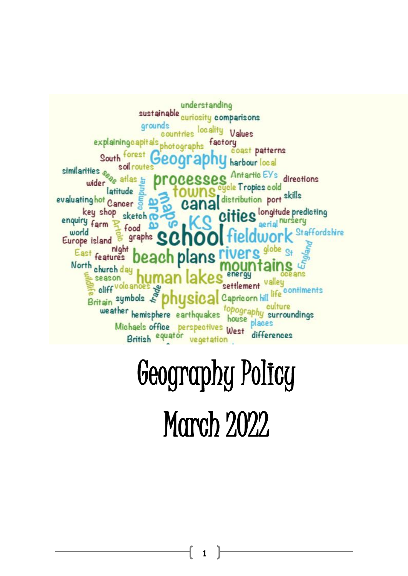

# Geography Policy

March 2022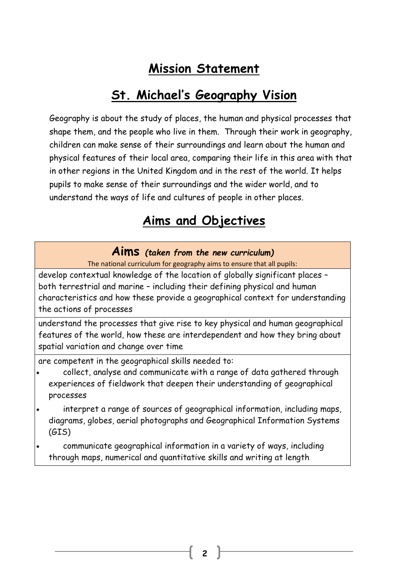# **Mission Statement**

# **St. Michael's Geography Vision**

Geography is about the study of places, the human and physical processes that shape them, and the people who live in them. Through their work in geography, children can make sense of their surroundings and learn about the human and physical features of their local area, comparing their life in this area with that in other regions in the United Kingdom and in the rest of the world. It helps pupils to make sense of their surroundings and the wider world, and to understand the ways of life and cultures of people in other places.

# **Aims and Objectives**

# **Aims** *(taken from the new curriculum)*

The national curriculum for geography aims to ensure that all pupils:

develop contextual knowledge of the location of globally significant places – both terrestrial and marine – including their defining physical and human characteristics and how these provide a geographical context for understanding the actions of processes

understand the processes that give rise to key physical and human geographical features of the world, how these are interdependent and how they bring about spatial variation and change over time

are competent in the geographical skills needed to:

- collect, analyse and communicate with a range of data gathered through experiences of fieldwork that deepen their understanding of geographical processes
- interpret a range of sources of geographical information, including maps, diagrams, globes, aerial photographs and Geographical Information Systems (GIS)
- communicate geographical information in a variety of ways, including through maps, numerical and quantitative skills and writing at length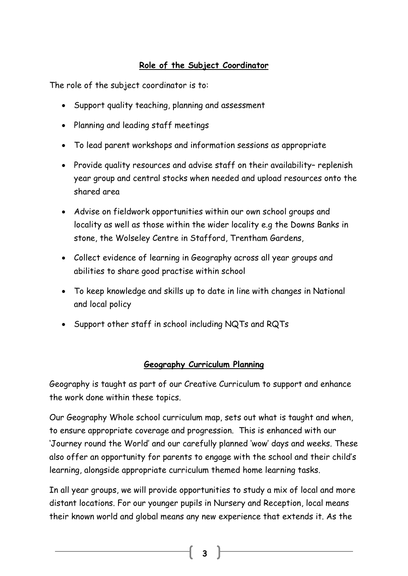## **Role of the Subject Coordinator**

The role of the subject coordinator is to:

- Support quality teaching, planning and assessment
- Planning and leading staff meetings
- To lead parent workshops and information sessions as appropriate
- Provide quality resources and advise staff on their availability-replenish year group and central stocks when needed and upload resources onto the shared area
- Advise on fieldwork opportunities within our own school groups and locality as well as those within the wider locality e.g the Downs Banks in stone, the Wolseley Centre in Stafford, Trentham Gardens,
- Collect evidence of learning in Geography across all year groups and abilities to share good practise within school
- To keep knowledge and skills up to date in line with changes in National and local policy
- Support other staff in school including NQTs and RQTs

### **Geography Curriculum Planning**

Geography is taught as part of our Creative Curriculum to support and enhance the work done within these topics.

Our Geography Whole school curriculum map, sets out what is taught and when, to ensure appropriate coverage and progression. This is enhanced with our 'Journey round the World' and our carefully planned 'wow' days and weeks. These also offer an opportunity for parents to engage with the school and their child's learning, alongside appropriate curriculum themed home learning tasks.

In all year groups, we will provide opportunities to study a mix of local and more distant locations. For our younger pupils in Nursery and Reception, local means their known world and global means any new experience that extends it. As the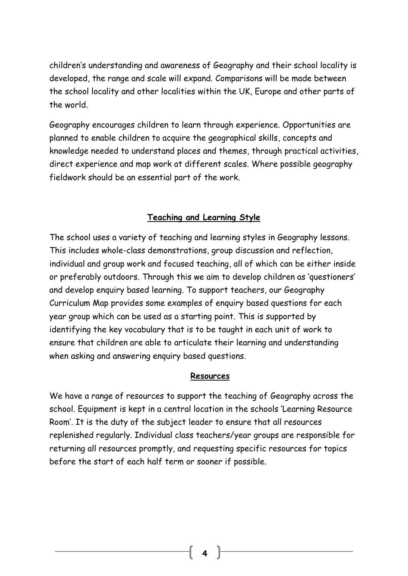children's understanding and awareness of Geography and their school locality is developed, the range and scale will expand. Comparisons will be made between the school locality and other localities within the UK, Europe and other parts of the world.

Geography encourages children to learn through experience. Opportunities are planned to enable children to acquire the geographical skills, concepts and knowledge needed to understand places and themes, through practical activities, direct experience and map work at different scales. Where possible geography fieldwork should be an essential part of the work.

#### **Teaching and Learning Style**

The school uses a variety of teaching and learning styles in Geography lessons. This includes whole-class demonstrations, group discussion and reflection, individual and group work and focused teaching, all of which can be either inside or preferably outdoors. Through this we aim to develop children as 'questioners' and develop enquiry based learning. To support teachers, our Geography Curriculum Map provides some examples of enquiry based questions for each year group which can be used as a starting point. This is supported by identifying the key vocabulary that is to be taught in each unit of work to ensure that children are able to articulate their learning and understanding when asking and answering enquiry based questions.

#### **Resources**

We have a range of resources to support the teaching of Geography across the school. Equipment is kept in a central location in the schools 'Learning Resource Room'. It is the duty of the subject leader to ensure that all resources replenished regularly. Individual class teachers/year groups are responsible for returning all resources promptly, and requesting specific resources for topics before the start of each half term or sooner if possible.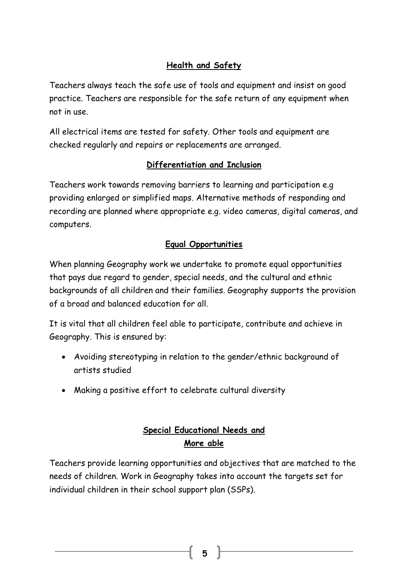# **Health and Safety**

Teachers always teach the safe use of tools and equipment and insist on good practice. Teachers are responsible for the safe return of any equipment when not in use.

All electrical items are tested for safety. Other tools and equipment are checked regularly and repairs or replacements are arranged.

### **Differentiation and Inclusion**

Teachers work towards removing barriers to learning and participation e.g providing enlarged or simplified maps. Alternative methods of responding and recording are planned where appropriate e.g. video cameras, digital cameras, and computers.

## **Equal Opportunities**

When planning Geography work we undertake to promote equal opportunities that pays due regard to gender, special needs, and the cultural and ethnic backgrounds of all children and their families. Geography supports the provision of a broad and balanced education for all.

It is vital that all children feel able to participate, contribute and achieve in Geography. This is ensured by:

- Avoiding stereotyping in relation to the gender/ethnic background of artists studied
- Making a positive effort to celebrate cultural diversity

# **Special Educational Needs and More able**

Teachers provide learning opportunities and objectives that are matched to the needs of children. Work in Geography takes into account the targets set for individual children in their school support plan (SSPs).

**5**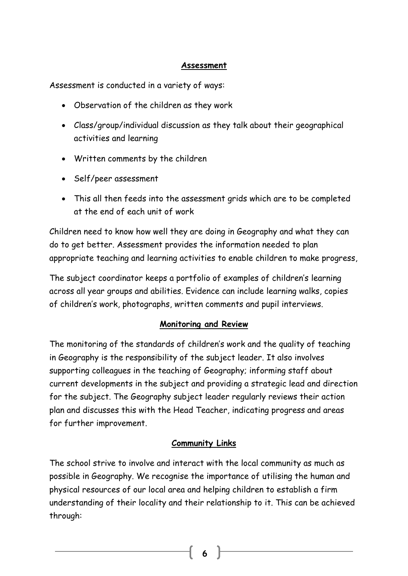#### **Assessment**

Assessment is conducted in a variety of ways:

- Observation of the children as they work
- Class/group/individual discussion as they talk about their geographical activities and learning
- Written comments by the children
- Self/peer assessment
- This all then feeds into the assessment grids which are to be completed at the end of each unit of work

Children need to know how well they are doing in Geography and what they can do to get better. Assessment provides the information needed to plan appropriate teaching and learning activities to enable children to make progress,

The subject coordinator keeps a portfolio of examples of children's learning across all year groups and abilities. Evidence can include learning walks, copies of children's work, photographs, written comments and pupil interviews.

#### **Monitoring and Review**

The monitoring of the standards of children's work and the quality of teaching in Geography is the responsibility of the subject leader. It also involves supporting colleagues in the teaching of Geography; informing staff about current developments in the subject and providing a strategic lead and direction for the subject. The Geography subject leader regularly reviews their action plan and discusses this with the Head Teacher, indicating progress and areas for further improvement.

#### **Community Links**

The school strive to involve and interact with the local community as much as possible in Geography. We recognise the importance of utilising the human and physical resources of our local area and helping children to establish a firm understanding of their locality and their relationship to it. This can be achieved through: